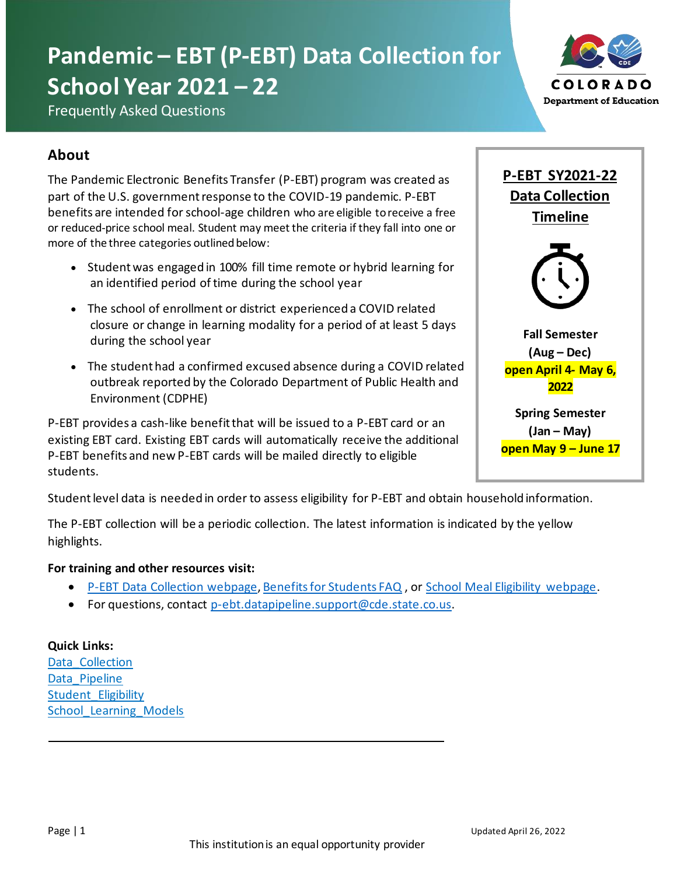# **Pandemic – EBT (P-EBT) Data Collection for School Year 2021 – 22**



Frequently Asked Questions

# **About**

The Pandemic Electronic Benefits Transfer (P-EBT) program was created as part of the U.S. government response to the COVID-19 pandemic. P-EBT benefits are intended for school-age children who are eligible to receive a free or reduced-price school meal. Student may meet the criteria if they fall into one or more of the three categories outlined below:

- Student was engaged in 100% fill time remote or hybrid learning for an identified period of time during the school year
- The school of enrollment or district experienced a COVID related closure or change in learning modality for a period of at least 5 days during the school year
- The student had a confirmed excused absence during a COVID related outbreak reported by the Colorado Department of Public Health and Environment (CDPHE)

P-EBT provides a cash-like benefit that will be issued to a P-EBT card or an existing EBT card. Existing EBT cards will automatically receive the additional P-EBT benefits and new P-EBT cards will be mailed directly to eligible students.

Student level data is needed in order to assess eligibility for P-EBT and obtain household information.

The P-EBT collection will be a periodic collection. The latest information is indicated by the yellow highlights.

#### **For training and other resources visit:**

- [P-EBT Data Collection webpage](https://www.cde.state.co.us/datapipeline/p-ebtdatacollection)[, Benefits for Students FAQ](file://///cde-fs-01/nutrition/P-EBT/Website%20Resources/FAQs/Data%20Collection/pebtbenefitsforstudentsduringschoolyear202021) , or [School Meal Eligibility webpage.](https://www.cde.state.co.us/nutrition/schoolmealeligibility)
- For questions, contact [p-ebt.datapipeline.support@cde.state.co.us](mailto:p-ebt.datapipeline.support@cde.state.co.us).

**Quick Links:** Data Collection Data Pipeline [Student\\_Eligibility](#page-6-0) School Learning Models



**Spring Semester (Jan – May) open May 9 – June 17**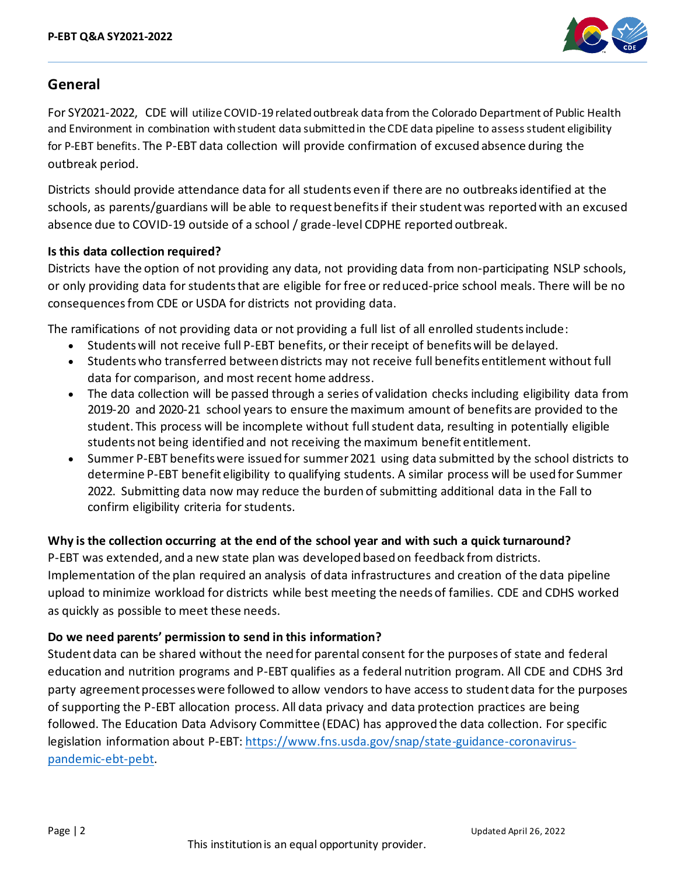

## **General**

For SY2021-2022, CDE will utilize COVID-19 related outbreak data from the Colorado Department of Public Health and Environment in combination with student data submitted in the CDE data pipeline to assess student eligibility for P-EBT benefits. The P-EBT data collection will provide confirmation of excused absence during the outbreak period.

Districts should provide attendance data for all students even if there are no outbreaks identified at the schools, as parents/guardians will be able to request benefits if their student was reported with an excused absence due to COVID-19 outside of a school / grade-level CDPHE reported outbreak.

## **Is this data collection required?**

Districts have the option of not providing any data, not providing data from non-participating NSLP schools, or only providing data for students that are eligible for free or reduced-price school meals. There will be no consequencesfrom CDE or USDA for districts not providing data.

The ramifications of not providing data or not providing a full list of all enrolled students include:

- Students will not receive full P-EBT benefits, or their receipt of benefits will be delayed.
- Studentswho transferred between districts may not receive full benefits entitlement without full data for comparison, and most recent home address.
- The data collection will be passed through a series of validation checks including eligibility data from 2019-20 and 2020-21 school years to ensure the maximum amount of benefits are provided to the student. This process will be incomplete without full student data, resulting in potentially eligible students not being identified and not receiving the maximum benefit entitlement.
- Summer P-EBT benefits were issued for summer 2021 using data submitted by the school districts to determine P-EBT benefit eligibility to qualifying students. A similar process will be used for Summer 2022. Submitting data now may reduce the burden of submitting additional data in the Fall to confirm eligibility criteria for students.

## **Why is the collection occurring at the end of the school year and with such a quick turnaround?**

P-EBT was extended, and a new state plan was developed based on feedback from districts. Implementation of the plan required an analysis of data infrastructures and creation of the data pipeline upload to minimize workload for districts while best meeting the needs of families. CDE and CDHS worked as quickly as possible to meet these needs.

## **Do we need parents' permission to send in this information?**

Student data can be shared without the need for parental consent for the purposes of state and federal education and nutrition programs and P-EBT qualifies as a federal nutrition program. All CDE and CDHS 3rd party agreement processes were followed to allow vendors to have access to student data for the purposes of supporting the P-EBT allocation process. All data privacy and data protection practices are being followed. The Education Data Advisory Committee (EDAC) has approved the data collection. For specific legislation information about P-EBT: [https://www.fns.usda.gov/snap/state-guidance-coronavirus](https://nam12.safelinks.protection.outlook.com/?url=https%3A%2F%2Fwww.fns.usda.gov%2Fsnap%2Fstate-guidance-coronavirus-pandemic-ebt-pebt&data=04%7C01%7Cbwestberry%40psdschools.org%7Ca485fb22d24e441cb04a08d8f48ba382%7C0d6d846ceadd4b6cb03ef15cd4b7e9cf%7C0%7C0%7C637528227875321121%7CUnknown%7CTWFpbGZsb3d8eyJWIjoiMC4wLjAwMDAiLCJQIjoiV2luMzIiLCJBTiI6Ik1haWwiLCJXVCI6Mn0%3D%7C1000&sdata=xKPYaGbCfcwm0Vm3K2rEAwx%2BjMbVWI86qYLs4%2BOMwq8%3D&reserved=0)[pandemic-ebt-pebt.](https://nam12.safelinks.protection.outlook.com/?url=https%3A%2F%2Fwww.fns.usda.gov%2Fsnap%2Fstate-guidance-coronavirus-pandemic-ebt-pebt&data=04%7C01%7Cbwestberry%40psdschools.org%7Ca485fb22d24e441cb04a08d8f48ba382%7C0d6d846ceadd4b6cb03ef15cd4b7e9cf%7C0%7C0%7C637528227875321121%7CUnknown%7CTWFpbGZsb3d8eyJWIjoiMC4wLjAwMDAiLCJQIjoiV2luMzIiLCJBTiI6Ik1haWwiLCJXVCI6Mn0%3D%7C1000&sdata=xKPYaGbCfcwm0Vm3K2rEAwx%2BjMbVWI86qYLs4%2BOMwq8%3D&reserved=0)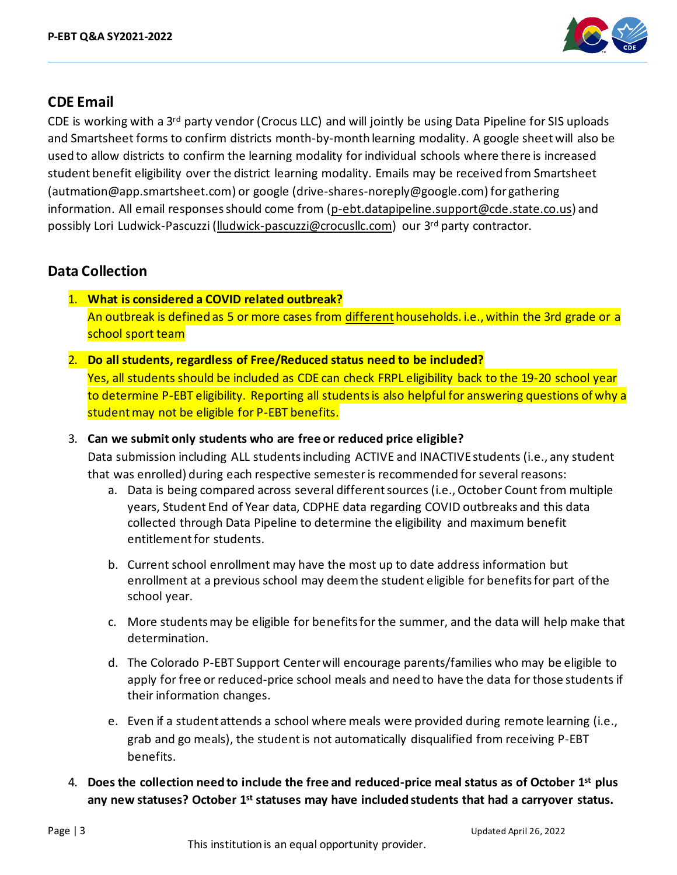

## **CDE Email**

CDE is working with a 3rd party vendor (Crocus LLC) and will jointly be using Data Pipeline for SIS uploads and Smartsheet forms to confirm districts month-by-month learning modality. A google sheet will also be used to allow districts to confirm the learning modality for individual schools where there is increased student benefit eligibility over the district learning modality. Emails may be received from Smartsheet (autmation@app.smartsheet.com) or google (drive-shares-noreply@google.com) for gathering information. All email responses should come from [\(p-ebt.datapipeline.support@cde.state.co.us](mailto:p-ebt.datapipeline.support@cde.state.co.us)) and possibly Lori Ludwick-Pascuzzi [\(lludwick-pascuzzi@crocusllc.com\)](mailto:lludwick-pascuzzi@crocusllc.com) our 3rd party contractor.

# <span id="page-2-0"></span>**Data Collection**

- 1. **What is considered a COVID related outbreak?** An outbreak is defined as 5 or more cases from different households. i.e., within the 3rd grade or a school sport team
- 2. **Do all students, regardless of Free/Reduced status need to be included?** Yes, all students should be included as CDE can check FRPL eligibility back to the 19-20 school year to determine P-EBT eligibility. Reporting all students is also helpful for answering questions of why a

student may not be eligible for P-EBT benefits.

3. **Can we submit only students who are free or reduced price eligible?**

Data submission including ALL studentsincluding ACTIVE and INACTIVEstudents (i.e., any student that was enrolled) during each respective semesteris recommended for several reasons:

- a. Data is being compared across several different sources (i.e., October Count from multiple years, Student End of Year data, CDPHE data regarding COVID outbreaks and this data collected through Data Pipeline to determine the eligibility and maximum benefit entitlement for students.
- b. Current school enrollment may have the most up to date address information but enrollment at a previous school may deem the student eligible for benefitsfor part of the school year.
- c. More students may be eligible for benefits for the summer, and the data will help make that determination.
- d. The Colorado P-EBT Support Centerwill encourage parents/families who may be eligible to apply for free or reduced-price school meals and need to have the data for those students if their information changes.
- e. Even if a student attends a school where meals were provided during remote learning (i.e., grab and go meals), the studentis not automatically disqualified from receiving P-EBT benefits.
- 4. **Does the collection need to include the free and reduced-price meal status as of October 1 st plus**  any new statuses? October 1<sup>st</sup> statuses may have included students that had a carryover status.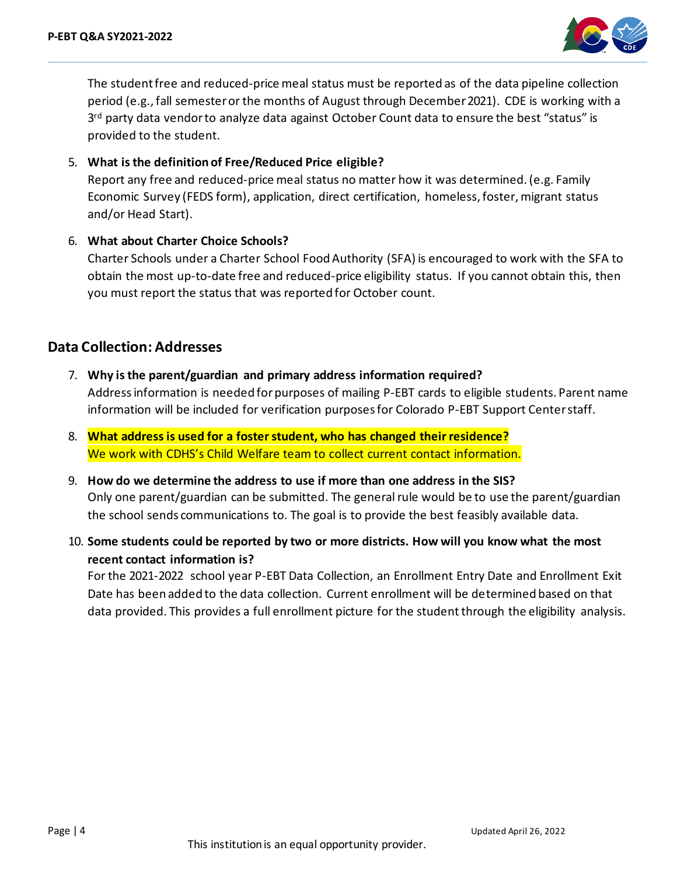

The student free and reduced-price meal status must be reported as of the data pipeline collection period (e.g., fall semester or the months of August through December 2021). CDE is working with a 3<sup>rd</sup> party data vendor to analyze data against October Count data to ensure the best "status" is provided to the student.

#### 5. **What is the definition of Free/Reduced Price eligible?**

Report any free and reduced-price meal status no matter how it was determined. (e.g. Family Economic Survey (FEDS form), application, direct certification, homeless, foster, migrant status and/or Head Start).

#### 6. **What about Charter Choice Schools?**

Charter Schools under a Charter School Food Authority (SFA) is encouraged to work with the SFA to obtain the most up-to-date free and reduced-price eligibility status. If you cannot obtain this, then you must report the status that was reported for October count.

## **Data Collection: Addresses**

7. **Why is the parent/guardian and primary address information required?**

Addressinformation is needed for purposes of mailing P-EBT cards to eligible students. Parent name information will be included for verification purposes for Colorado P-EBT Support Centerstaff.

- 8. **What address is used for a foster student, who has changed their residence?** We work with CDHS's Child Welfare team to collect current contact information.
- 9. **How do we determine the address to use if more than one address in the SIS?** Only one parent/guardian can be submitted. The general rule would be to use the parent/guardian the school sends communications to. The goal is to provide the best feasibly available data.
- 10. **Some students could be reported by two or more districts. How will you know what the most recent contact information is?**

For the 2021-2022 school year P-EBT Data Collection, an Enrollment Entry Date and Enrollment Exit Date has been added to the data collection. Current enrollment will be determined based on that data provided. This provides a full enrollment picture for the student through the eligibility analysis.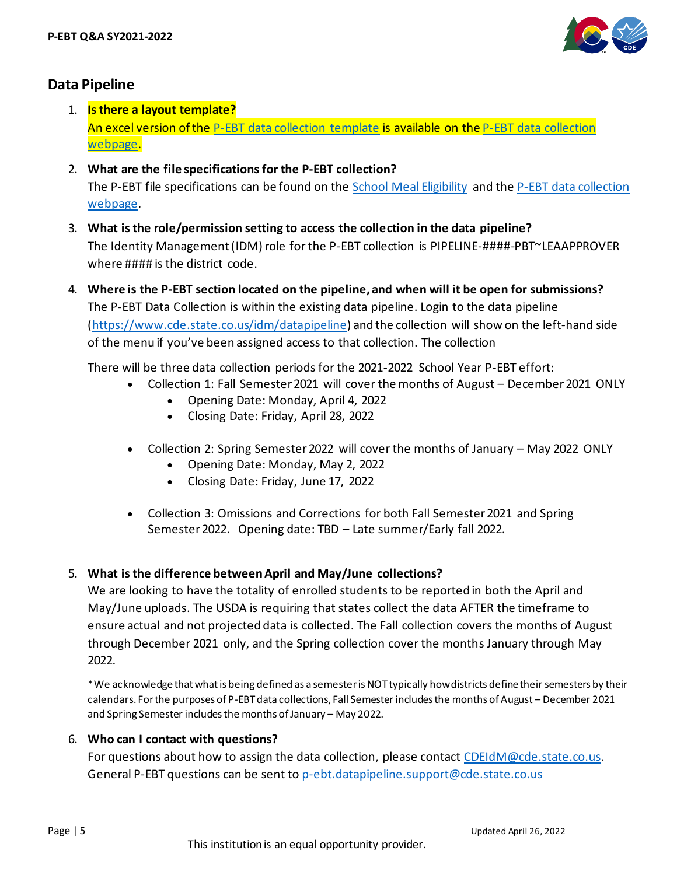

## <span id="page-4-0"></span>**Data Pipeline**

- 1. **Is there a layout template?** An excel version of the [P-EBT data collection template](https://www.cde.state.co.us/datapipeline/p-ebtdatacollectiontemplate) is available on th[e P-EBT data collection](https://www.cde.state.co.us/datapipeline/p-ebtdatacollection) [webpage.](https://www.cde.state.co.us/datapipeline/p-ebtdatacollection)
- 2. **What are the file specifications for the P-EBT collection?** The P-EBT file specifications can be found on the School [Meal Eligibility](https://www.cde.state.co.us/nutrition/schoolmealeligibility) and the [P-EBT data collection](https://www.cde.state.co.us/datapipeline/p-ebtdatacollection) [webpage.](https://www.cde.state.co.us/datapipeline/p-ebtdatacollection)
- 3. **What is the role/permission setting to access the collection in the data pipeline?** The Identity Management(IDM) role for the P-EBT collection is PIPELINE-####-PBT~LEAAPPROVER where #### is the district code.
- 4. **Where is the P-EBT section located on the pipeline, and when will it be open for submissions?** The P-EBT Data Collection is within the existing data pipeline. Login to the data pipeline [\(https://www.cde.state.co.us/idm/datapipeline](https://www.cde.state.co.us/idm/datapipeline)) and the collection will show on the left-hand side of the menu if you've been assigned access to that collection. The collection

There will be three data collection periods for the 2021-2022 School Year P-EBT effort:

- Collection 1: Fall Semester 2021 will cover the months of August December 2021 ONLY
	- Opening Date: Monday, April 4, 2022
	- Closing Date: Friday, April 28, 2022
- Collection 2: Spring Semester 2022 will cover the months of January May 2022 ONLY
	- Opening Date: Monday, May 2, 2022
	- Closing Date: Friday, June 17, 2022
- Collection 3: Omissions and Corrections for both Fall Semester 2021 and Spring Semester 2022. Opening date: TBD - Late summer/Early fall 2022.

#### 5. **What is the difference between April and May/June collections?**

We are looking to have the totality of enrolled students to be reported in both the April and May/June uploads. The USDA is requiring that states collect the data AFTER the timeframe to ensure actual and not projected data is collected. The Fall collection covers the months of August through December 2021 only, and the Spring collection cover the months January through May 2022.

\*We acknowledge that what is being defined as a semester is NOT typically how districts define their semesters by their calendars. For the purposes of P-EBT data collections, Fall Semester includes the months of August – December 2021 and Spring Semester includes the months of January – May 2022.

#### 6. **Who can I contact with questions?**

For questions about how to assign the data collection, please contact [CDEIdM@cde.state.co.us.](mailto:CDEIdM@cde.state.co.us) General P-EBT questions can be sent to [p-ebt.datapipeline.support@cde.state.co.us](mailto:p-ebt.datapipeline.support@cde.state.co.us)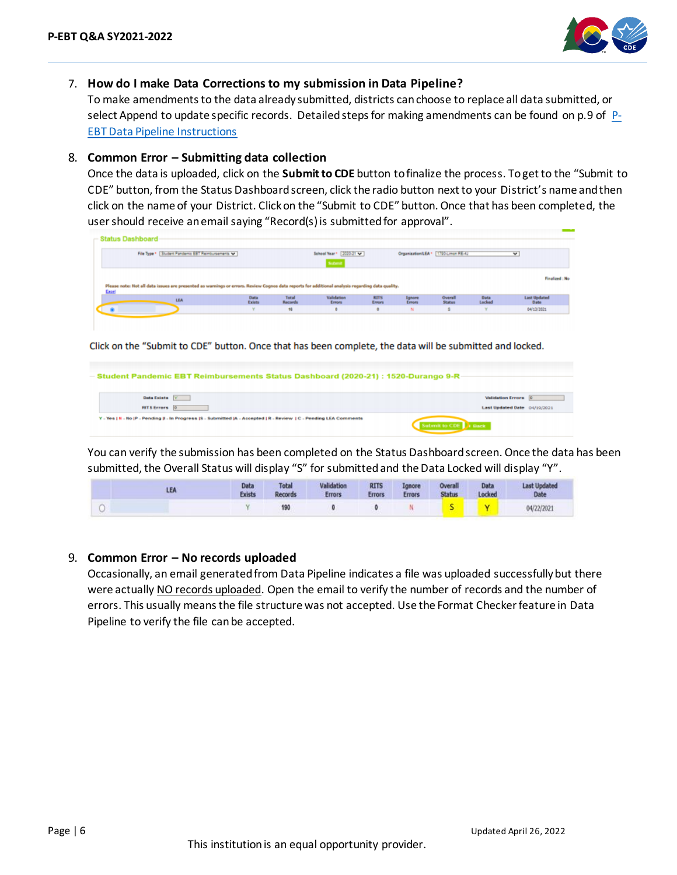

#### 7. **How do I make Data Corrections to my submission in Data Pipeline?**

To make amendments to the data already submitted, districts can choose to replace all data submitted, or select Append to update specific records. Detailed steps for making amendments can be found on p.9 of [P-](https://www.cde.state.co.us/nutrition/pebtdatapipelineinstructions)[EBT Data Pipeline Instructions](https://www.cde.state.co.us/nutrition/pebtdatapipelineinstructions)

#### 8. **Common Error – Submitting data collection**

Once the data is uploaded, click on the **Submit to CDE** button to finalize the process. To get to the "Submit to CDE" button, from the Status Dashboard screen, click the radio button next to your District's name and then click on the name of your District. Click on the "Submit to CDE" button. Once that has been completed, the user should receive an email saying "Record(s) is submitted for approval".

| File Type * Student Pandemic EBT Reimbursements ¥                                                                                                         |                |         | School Year* 2020-21 w<br>Submit |             |         | Organization/LEA * [1790-Limon RE-4J |        | v                   |
|-----------------------------------------------------------------------------------------------------------------------------------------------------------|----------------|---------|----------------------------------|-------------|---------|--------------------------------------|--------|---------------------|
|                                                                                                                                                           |                |         |                                  |             |         |                                      |        |                     |
|                                                                                                                                                           |                |         |                                  |             |         |                                      |        | Finalized: No       |
|                                                                                                                                                           |                | Total   | Validation                       | <b>RITS</b> | Ignore  | Overall                              | Data   | <b>Last Updated</b> |
| <b>LEA</b>                                                                                                                                                | Data<br>Exists | Records | Enrors                           | Errors      | Errors  | <b>Status</b>                        | Locked | Date                |
| Please note: Not all data issues are presented as warnings or errors. Review Cognos data reports for additional analysis regarding data quality.<br>Excel |                | 16      |                                  | ¢.          | $^{14}$ |                                      |        | 04/13/2021          |

Click on the "Submit to CDE" button. Once that has been complete, the data will be submitted and locked.

| Data Exists Y        | Validation Errora 0          |  |
|----------------------|------------------------------|--|
| <b>RITS Errors</b> 0 | Last Updated Date 04/19/2021 |  |

You can verify the submission has been completed on the Status Dashboard screen. Once the data has been submitted, the Overall Status will display "S" for submitted and the Data Locked will display "Y".

|  | Data<br><b>Exists</b> | <b>Total</b><br><b>Records</b> | Validation<br><b>Errors</b> | <b>RITS</b><br><b>Errors</b> | Ignore<br><b>Errors</b> | Overall<br><b>Status</b> | Data<br>Locked | <b>Last Updated</b><br>Date |
|--|-----------------------|--------------------------------|-----------------------------|------------------------------|-------------------------|--------------------------|----------------|-----------------------------|
|  |                       |                                |                             |                              |                         |                          |                | 14/22/2021                  |

#### 9. **Common Error – No records uploaded**

Occasionally, an email generated from Data Pipeline indicates a file was uploaded successfully but there were actually NO records uploaded. Open the email to verify the number of records and the number of errors. This usually means the file structure was not accepted. Use the Format Checker feature in Data Pipeline to verify the file can be accepted.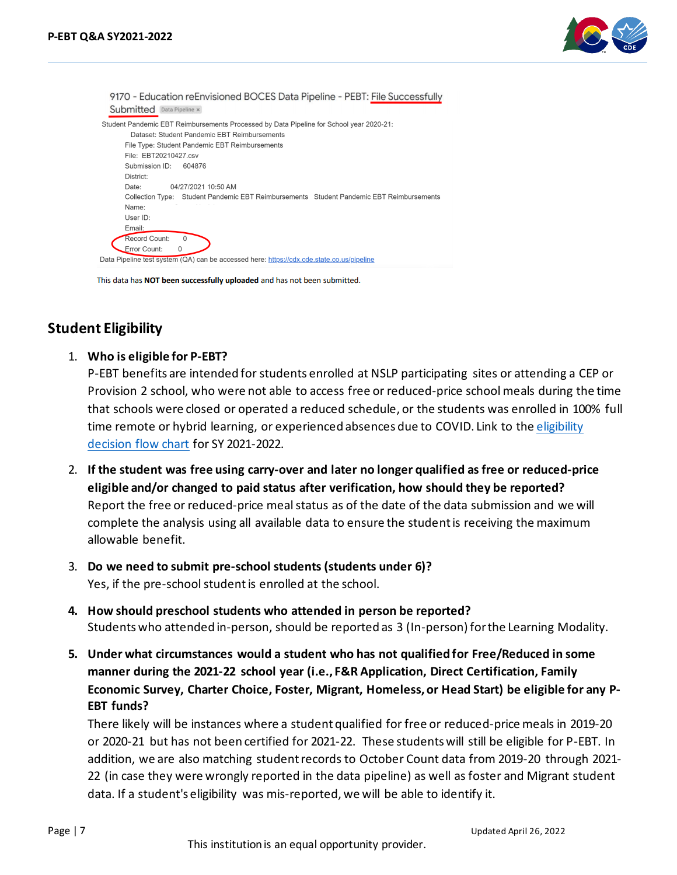

9170 - Education reEnvisioned BOCES Data Pipeline - PEBT: File Successfully Submitted Data Pipeline x Student Pandemic EBT Reimbursements Processed by Data Pipeline for School year 2020-21: Dataset: Student Pandemic EBT Reimbursements File Tyne: Student Pandemic FRT Reimhursements File: EBT20210427.csv Submission ID: 604876 District: Date: 04/27/2021 10:50 AM Collection Type: Student Pandemic EBT Reimbursements Student Pandemic EBT Reimbursements Name: Liser ID: Email: Record Count:  $\sqrt{ }$ Error Count: 0 Data Pipeline test system (QA) can be accessed here: https://cdx.cde.state.co.us/pipeline

This data has NOT been successfully uploaded and has not been submitted.

# <span id="page-6-0"></span>**Student Eligibility**

1. **Who is eligible for P-EBT?**

P-EBT benefits are intended for students enrolled at NSLP participating sites or attending a CEP or Provision 2 school, who were not able to access free or reduced-price school meals during the time that schools were closed or operated a reduced schedule, or the students was enrolled in 100% full time remote or hybrid learning, or experienced absences due to COVID. Link to the eligibility [decision flow chart](https://www.cde.state.co.us/nutrition/pebteligibilityflowchart) for SY 2021-2022.

- 2. **If the student was free using carry-over and later no longer qualified as free or reduced-price eligible and/or changed to paid status after verification, how should they be reported?** Report the free or reduced-price meal status as of the date of the data submission and we will complete the analysis using all available data to ensure the student is receiving the maximum allowable benefit.
- 3. **Do we need to submit pre-school students (students under 6)?** Yes, if the pre-school studentis enrolled at the school.
- **4. How should preschool students who attended in person be reported?** Students who attended in-person, should be reported as 3 (In-person) for the Learning Modality.
- **5. Under what circumstances would a student who has not qualified for Free/Reduced in some manner during the 2021-22 school year (i.e., F&R Application, Direct Certification, Family Economic Survey, Charter Choice, Foster, Migrant, Homeless, or Head Start) be eligible for any P-EBT funds?**

There likely will be instances where a student qualified for free or reduced-price meals in 2019-20 or 2020-21 but has not been certified for 2021-22. These students will still be eligible for P-EBT. In addition, we are also matching student records to October Count data from 2019-20 through 2021- 22 (in case they were wrongly reported in the data pipeline) as well as foster and Migrant student data. If a student's eligibility was mis-reported, we will be able to identify it.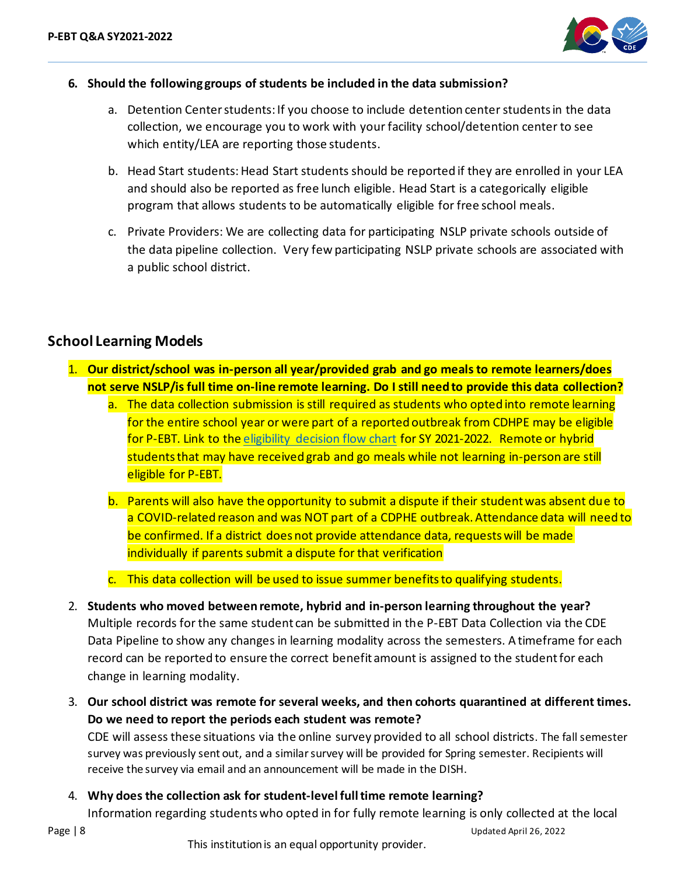

#### **6. Should the following groups of students be included in the data submission?**

- a. Detention Center students:If you choose to include detention center students in the data collection, we encourage you to work with your facility school/detention center to see which entity/LEA are reporting those students.
- b. Head Start students: Head Start students should be reported if they are enrolled in your LEA and should also be reported as free lunch eligible. Head Start is a categorically eligible program that allows students to be automatically eligible for free school meals.
- c. Private Providers: We are collecting data for participating NSLP private schools outside of the data pipeline collection. Very few participating NSLP private schools are associated with a public school district.

## <span id="page-7-0"></span>**School Learning Models**

- 1. **Our district/school was in-person all year/provided grab and go meals to remote learners/does not serve NSLP/is full time on-line remote learning. Do I still need to provide this data collection?**
	- a. The data collection submission is still required as students who opted into remote learning for the entire school year or were part of a reported outbreak from CDHPE may be eligible for P-EBT. Link to the eligibility [decision flow chart](https://www.cde.state.co.us/nutrition/pebteligibilityflowchart) for SY 2021-2022. Remote or hybrid students that may have received grab and go meals while not learning in-person are still eligible for P-EBT.
	- b. Parents will also have the opportunity to submit a dispute if their student was absent due to a COVID-related reason and was NOT part of a CDPHE outbreak. Attendance data will need to be confirmed. If a district does not provide attendance data, requests will be made individually if parents submit a dispute for that verification
	- c. This data collection will be used to issue summer benefitsto qualifying students.
- 2. **Students who moved between remote, hybrid and in-person learning throughout the year?** Multiple records for the same student can be submitted in the P-EBT Data Collection via the CDE Data Pipeline to show any changes in learning modality across the semesters. A timeframe for each record can be reported to ensure the correct benefit amount is assigned to the student for each change in learning modality.
- 3. **Our school district was remote for several weeks, and then cohorts quarantined at different times. Do we need to report the periods each student was remote?**

CDE will assess these situations via the online survey provided to all school districts. The fall semester survey was previously sent out, and a similar survey will be provided for Spring semester. Recipients will receive the survey via email and an announcement will be made in the DISH.

4. **Why does the collection ask for student-level full time remote learning?**

Information regarding studentswho opted in for fully remote learning is only collected at the local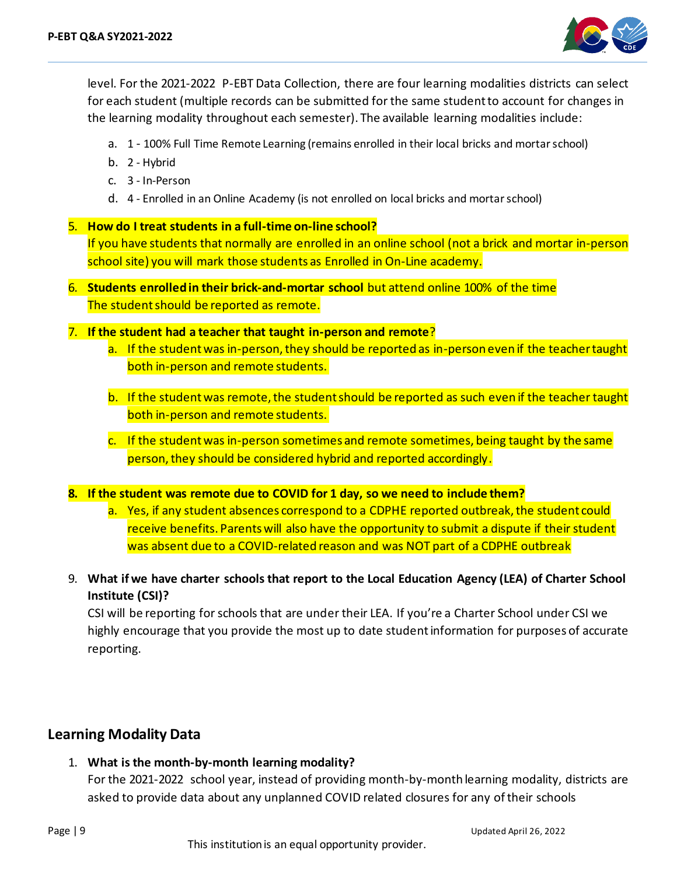

level. For the 2021-2022 P-EBT Data Collection, there are four learning modalities districts can select for each student (multiple records can be submitted for the same student to account for changes in the learning modality throughout each semester). The available learning modalities include:

- a. 1 100% Full Time Remote Learning (remains enrolled in their local bricks and mortarschool)
- b. 2 Hybrid
- c. 3 In-Person
- d. 4 Enrolled in an Online Academy (is not enrolled on local bricks and mortarschool)

#### 5. **How do I treat students in a full-time on-line school?**

If you have students that normally are enrolled in an online school (not a brick and mortar in-person school site) you will mark those students as Enrolled in On-Line academy.

- 6. **Students enrolled in their brick-and-mortar school** but attend online 100% of the time The student should be reported as remote.
- 7. **If the student had a teacher that taught in-person and remote**?
	- a. If the student was in-person, they should be reported as in-person even if the teacher taught both in-person and remote students.
	- b. If the student was remote, the student should be reported as such even if the teacher taught both in-person and remote students.
	- c. If the student was in-person sometimes and remote sometimes, being taught by the same person, they should be considered hybrid and reported accordingly.

#### **8. If the student was remote due to COVID for 1 day, so we need to include them?**

- a. Yes, if any student absences correspond to a CDPHE reported outbreak, the student could receive benefits. Parents will also have the opportunity to submit a dispute if their student was absent due to a COVID-related reason and was NOT part of a CDPHE outbreak
- 9. **What if we have charter schools that report to the Local Education Agency (LEA) of Charter School Institute (CSI)?**

CSI will be reporting for schools that are under their LEA. If you're a Charter School under CSI we highly encourage that you provide the most up to date student information for purposes of accurate reporting.

#### **Learning Modality Data**

1. **What is the month-by-month learning modality?** For the 2021-2022 school year, instead of providing month-by-month learning modality, districts are asked to provide data about any unplanned COVID related closures for any of their schools